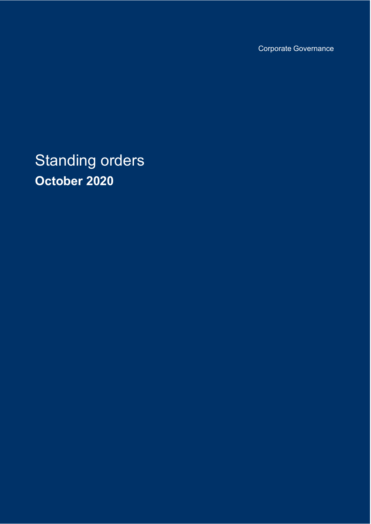Corporate Governance

Standing orders **October 2020**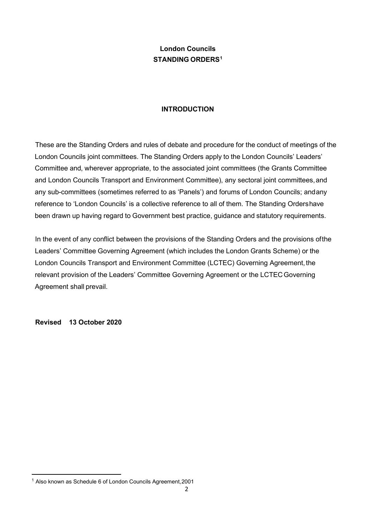# **London Councils STANDING ORDERS[1](#page-1-0)**

### **INTRODUCTION**

These are the Standing Orders and rules of debate and procedure for the conduct of meetings of the London Councils joint committees. The Standing Orders apply to the London Councils' Leaders' Committee and, wherever appropriate, to the associated joint committees (the Grants Committee and London Councils Transport and Environment Committee), any sectoral joint committees,and any sub-committees (sometimes referred to as 'Panels') and forums of London Councils; andany reference to 'London Councils' is a collective reference to all of them. The Standing Ordershave been drawn up having regard to Government best practice, guidance and statutory requirements.

In the event of any conflict between the provisions of the Standing Orders and the provisions ofthe Leaders' Committee Governing Agreement (which includes the London Grants Scheme) or the London Councils Transport and Environment Committee (LCTEC) Governing Agreement, the relevant provision of the Leaders' Committee Governing Agreement or the LCTEC Governing Agreement shall prevail.

**Revised 13 October 2020**

<span id="page-1-0"></span><sup>1</sup> Also known as Schedule 6 of London Councils Agreement,2001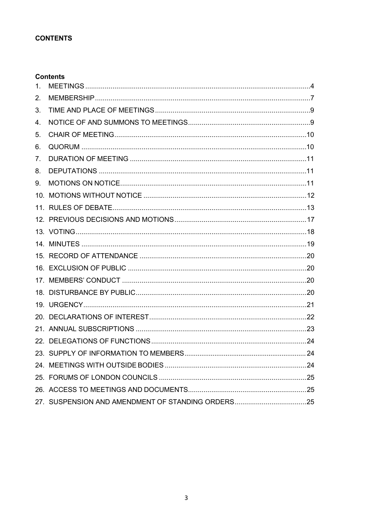### **CONTENTS**

### **Contents**

| 1. |  |
|----|--|
| 2. |  |
| 3. |  |
| 4. |  |
| 5. |  |
| 6. |  |
| 7. |  |
| 8. |  |
| 9. |  |
|    |  |
|    |  |
|    |  |
|    |  |
|    |  |
|    |  |
|    |  |
|    |  |
|    |  |
|    |  |
|    |  |
|    |  |
|    |  |
|    |  |
|    |  |
|    |  |
|    |  |
|    |  |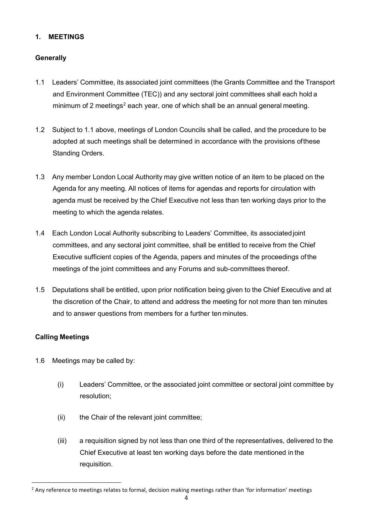### **1. MEETINGS**

### **Generally**

- 1.1 Leaders' Committee, its associated joint committees (the Grants Committee and the Transport and Environment Committee (TEC)) and any sectoral joint committees shall each hold a minimum of [2](#page-3-0) meetings<sup>2</sup> each year, one of which shall be an annual general meeting.
- 1.2 Subject to 1.1 above, meetings of London Councils shall be called, and the procedure to be adopted at such meetings shall be determined in accordance with the provisions ofthese Standing Orders.
- 1.3 Any member London Local Authority may give written notice of an item to be placed on the Agenda for any meeting. All notices of items for agendas and reports for circulation with agenda must be received by the Chief Executive not less than ten working days prior to the meeting to which the agenda relates.
- 1.4 Each London Local Authority subscribing to Leaders' Committee, its associatedjoint committees, and any sectoral joint committee, shall be entitled to receive from the Chief Executive sufficient copies of the Agenda, papers and minutes of the proceedings ofthe meetings of the joint committees and any Forums and sub-committees thereof.
- 1.5 Deputations shall be entitled, upon prior notification being given to the Chief Executive and at the discretion of the Chair, to attend and address the meeting for not more than ten minutes and to answer questions from members for a further ten minutes.

# **Calling Meetings**

- 1.6 Meetings may be called by:
	- (i) Leaders' Committee, or the associated joint committee or sectoral joint committee by resolution;
	- (ii) the Chair of the relevant joint committee;
	- (iii) a requisition signed by not less than one third of the representatives, delivered to the Chief Executive at least ten working days before the date mentioned in the requisition.

<span id="page-3-0"></span><sup>&</sup>lt;sup>2</sup> Any reference to meetings relates to formal, decision making meetings rather than 'for information' meetings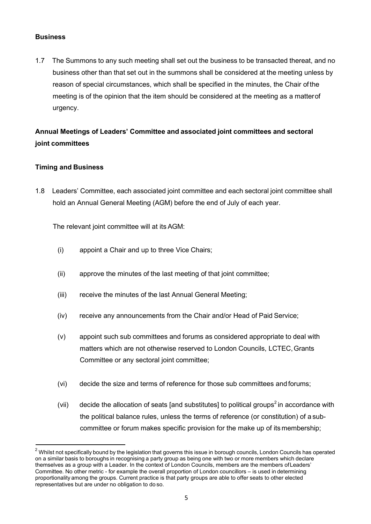### **Business**

1.7 The Summons to any such meeting shall set out the business to be transacted thereat, and no business other than that set out in the summons shall be considered at the meeting unless by reason of special circumstances, which shall be specified in the minutes, the Chair of the meeting is of the opinion that the item should be considered at the meeting as a matterof urgency.

# **Annual Meetings of Leaders' Committee and associated joint committees and sectoral joint committees**

# **Timing and Business**

1.8 Leaders' Committee, each associated joint committee and each sectoral joint committee shall hold an Annual General Meeting (AGM) before the end of July of each year.

The relevant joint committee will at its AGM:

- (i) appoint a Chair and up to three Vice Chairs;
- (ii) approve the minutes of the last meeting of that joint committee;
- (iii) receive the minutes of the last Annual General Meeting;
- (iv) receive any announcements from the Chair and/or Head of Paid Service;
- (v) appoint such sub committees and forums as considered appropriate to deal with matters which are not otherwise reserved to London Councils, LCTEC,Grants Committee or any sectoral joint committee;
- (vi) decide the size and terms of reference for those sub committees and forums;
- (vii) decide the allocation of seats [and substitutes] to political groups<sup>2</sup> in accordance with the political balance rules, unless the terms of reference (or constitution) of a subcommittee or forum makes specific provision for the make up of its membership;

 $2$  Whilst not specifically bound by the legislation that governs this issue in borough councils, London Councils has operated on a similar basis to boroughs in recognising a party group as being one with two or more members which declare themselves as a group with a Leader. In the context of London Councils, members are the members ofLeaders' Committee. No other metric - for example the overall proportion of London councillors – is used in determining proportionality among the groups. Current practice is that party groups are able to offer seats to other elected representatives but are under no obligation to do so.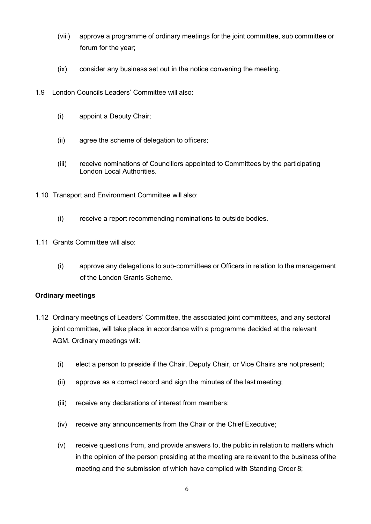- (viii) approve a programme of ordinary meetings for the joint committee, sub committee or forum for the year;
- (ix) consider any business set out in the notice convening the meeting.
- 1.9 London Councils Leaders' Committee will also:
	- (i) appoint a Deputy Chair;
	- (ii) agree the scheme of delegation to officers;
	- (iii) receive nominations of Councillors appointed to Committees by the participating London Local Authorities.
- 1.10 Transport and Environment Committee will also:
	- (i) receive a report recommending nominations to outside bodies.
- 1.11 Grants Committee will also:
	- (i) approve any delegations to sub-committees or Officers in relation to the management of the London Grants Scheme.

### **Ordinary meetings**

- 1.12 Ordinary meetings of Leaders' Committee, the associated joint committees, and any sectoral joint committee, will take place in accordance with a programme decided at the relevant AGM. Ordinary meetings will:
	- (i) elect a person to preside if the Chair, Deputy Chair, or Vice Chairs are notpresent;
	- (ii) approve as a correct record and sign the minutes of the last meeting;
	- (iii) receive any declarations of interest from members;
	- (iv) receive any announcements from the Chair or the Chief Executive;
	- (v) receive questions from, and provide answers to, the public in relation to matters which in the opinion of the person presiding at the meeting are relevant to the business ofthe meeting and the submission of which have complied with Standing Order 8;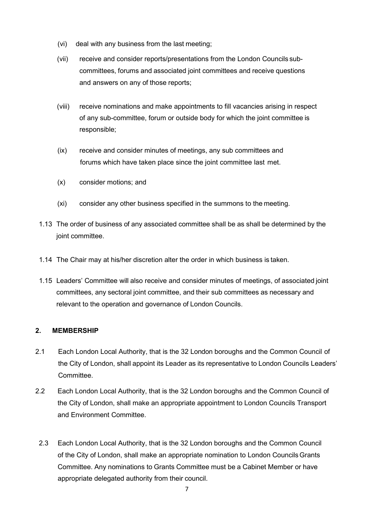- (vi) deal with any business from the last meeting;
- (vii) receive and consider reports/presentations from the London Councils subcommittees, forums and associated joint committees and receive questions and answers on any of those reports;
- (viii) receive nominations and make appointments to fill vacancies arising in respect of any sub-committee, forum or outside body for which the joint committee is responsible;
- (ix) receive and consider minutes of meetings, any sub committees and forums which have taken place since the joint committee last met.
- (x) consider motions; and
- (xi) consider any other business specified in the summons to the meeting.
- 1.13 The order of business of any associated committee shall be as shall be determined by the joint committee.
- 1.14 The Chair may at his/her discretion alter the order in which business is taken.
- 1.15 Leaders' Committee will also receive and consider minutes of meetings, of associated joint committees, any sectoral joint committee, and their sub committees as necessary and relevant to the operation and governance of London Councils.

# <span id="page-6-0"></span>**2. MEMBERSHIP**

- 2.1 Each London Local Authority, that is the 32 London boroughs and the Common Council of the City of London, shall appoint its Leader as its representative to London Councils Leaders' Committee.
- 2.2 Each London Local Authority, that is the 32 London boroughs and the Common Council of the City of London, shall make an appropriate appointment to London Councils Transport and Environment Committee.
- 2.3 Each London Local Authority, that is the 32 London boroughs and the Common Council of the City of London, shall make an appropriate nomination to London CouncilsGrants Committee. Any nominations to Grants Committee must be a Cabinet Member or have appropriate delegated authority from their council.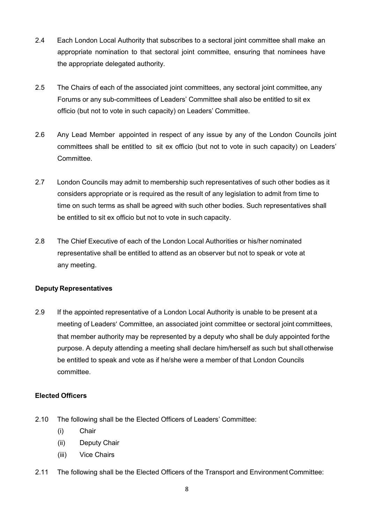- 2.4 Each London Local Authority that subscribes to a sectoral joint committee shall make an appropriate nomination to that sectoral joint committee, ensuring that nominees have the appropriate delegated authority.
- 2.5 The Chairs of each of the associated joint committees, any sectoral joint committee, any Forums or any sub-committees of Leaders' Committee shall also be entitled to sit ex officio (but not to vote in such capacity) on Leaders' Committee.
- 2.6 Any Lead Member appointed in respect of any issue by any of the London Councils joint committees shall be entitled to sit ex officio (but not to vote in such capacity) on Leaders' Committee.
- 2.7 London Councils may admit to membership such representatives of such other bodies as it considers appropriate or is required as the result of any legislation to admit from time to time on such terms as shall be agreed with such other bodies. Such representatives shall be entitled to sit ex officio but not to vote in such capacity.
- 2.8 The Chief Executive of each of the London Local Authorities or his/her nominated representative shall be entitled to attend as an observer but not to speak or vote at any meeting.

# **Deputy Representatives**

2.9 If the appointed representative of a London Local Authority is unable to be present at a meeting of Leaders' Committee, an associated joint committee or sectoral joint committees, that member authority may be represented by a deputy who shall be duly appointed forthe purpose. A deputy attending a meeting shall declare him/herself as such but shallotherwise be entitled to speak and vote as if he/she were a member of that London Councils committee.

# **Elected Officers**

- 2.10 The following shall be the Elected Officers of Leaders' Committee:
	- (i) Chair
	- (ii) Deputy Chair
	- (iii) Vice Chairs
- 2.11 The following shall be the Elected Officers of the Transport and Environment Committee: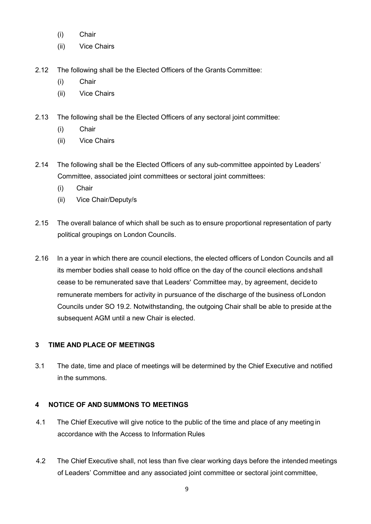- (i) Chair
- (ii) Vice Chairs
- 2.12 The following shall be the Elected Officers of the Grants Committee:
	- (i) Chair
	- (ii) Vice Chairs

2.13 The following shall be the Elected Officers of any sectoral joint committee:

- (i) Chair
- (ii) Vice Chairs
- 2.14 The following shall be the Elected Officers of any sub-committee appointed by Leaders' Committee, associated joint committees or sectoral joint committees:
	- (i) Chair
	- (ii) Vice Chair/Deputy/s
- 2.15 The overall balance of which shall be such as to ensure proportional representation of party political groupings on London Councils.
- 2.16 In a year in which there are council elections, the elected officers of London Councils and all its member bodies shall cease to hold office on the day of the council elections andshall cease to be remunerated save that Leaders' Committee may, by agreement, decide to remunerate members for activity in pursuance of the discharge of the business of London Councils under SO 19.2. Notwithstanding, the outgoing Chair shall be able to preside at the subsequent AGM until a new Chair is elected.

# <span id="page-8-0"></span>**3 TIME AND PLACE OF MEETINGS**

3.1 The date, time and place of meetings will be determined by the Chief Executive and notified in the summons.

# <span id="page-8-1"></span>**4 NOTICE OF AND SUMMONS TO MEETINGS**

- 4.1 The Chief Executive will give notice to the public of the time and place of any meeting in accordance with the Access to Information Rules
- 4.2 The Chief Executive shall, not less than five clear working days before the intended meetings of Leaders' Committee and any associated joint committee or sectoral joint committee,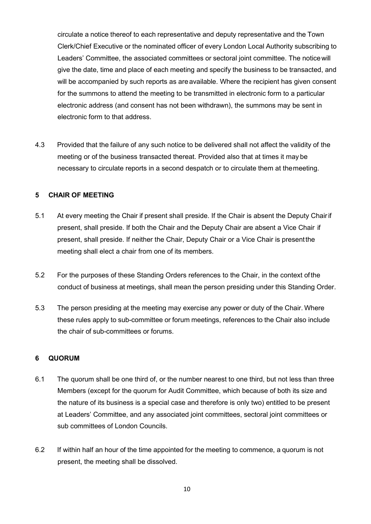circulate a notice thereof to each representative and deputy representative and the Town Clerk/Chief Executive or the nominated officer of every London Local Authority subscribing to Leaders' Committee, the associated committees or sectoral joint committee. The noticewill give the date, time and place of each meeting and specify the business to be transacted, and will be accompanied by such reports as are available. Where the recipient has given consent for the summons to attend the meeting to be transmitted in electronic form to a particular electronic address (and consent has not been withdrawn), the summons may be sent in electronic form to that address.

4.3 Provided that the failure of any such notice to be delivered shall not affect the validity of the meeting or of the business transacted thereat. Provided also that at times it may be necessary to circulate reports in a second despatch or to circulate them at themeeting.

### <span id="page-9-0"></span>**5 CHAIR OF MEETING**

- 5.1 At every meeting the Chair if present shall preside. If the Chair is absent the Deputy Chairif present, shall preside. If both the Chair and the Deputy Chair are absent a Vice Chair if present, shall preside. If neither the Chair, Deputy Chair or a Vice Chair is presentthe meeting shall elect a chair from one of its members.
- 5.2 For the purposes of these Standing Orders references to the Chair, in the context ofthe conduct of business at meetings, shall mean the person presiding under this Standing Order.
- 5.3 The person presiding at the meeting may exercise any power or duty of the Chair. Where these rules apply to sub-committee or forum meetings, references to the Chair also include the chair of sub-committees or forums.

### <span id="page-9-1"></span>**6 QUORUM**

- 6.1 The quorum shall be one third of, or the number nearest to one third, but not less than three Members (except for the quorum for Audit Committee, which because of both its size and the nature of its business is a special case and therefore is only two) entitled to be present at Leaders' Committee, and any associated joint committees, sectoral joint committees or sub committees of London Councils.
- 6.2 If within half an hour of the time appointed for the meeting to commence, a quorum is not present, the meeting shall be dissolved.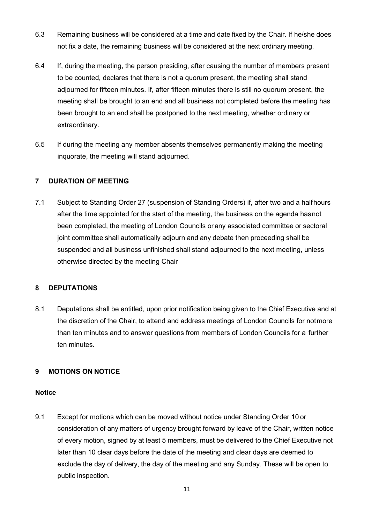- 6.3 Remaining business will be considered at a time and date fixed by the Chair. If he/she does not fix a date, the remaining business will be considered at the next ordinary meeting.
- 6.4 If, during the meeting, the person presiding, after causing the number of members present to be counted, declares that there is not a quorum present, the meeting shall stand adjourned for fifteen minutes. If, after fifteen minutes there is still no quorum present, the meeting shall be brought to an end and all business not completed before the meeting has been brought to an end shall be postponed to the next meeting, whether ordinary or extraordinary.
- 6.5 If during the meeting any member absents themselves permanently making the meeting inquorate, the meeting will stand adjourned.

### <span id="page-10-0"></span>**7 DURATION OF MEETING**

7.1 Subject to Standing Order 27 (suspension of Standing Orders) if, after two and a halfhours after the time appointed for the start of the meeting, the business on the agenda hasnot been completed, the meeting of London Councils or any associated committee or sectoral joint committee shall automatically adjourn and any debate then proceeding shall be suspended and all business unfinished shall stand adjourned to the next meeting, unless otherwise directed by the meeting Chair

### <span id="page-10-1"></span>**8 DEPUTATIONS**

8.1 Deputations shall be entitled, upon prior notification being given to the Chief Executive and at the discretion of the Chair, to attend and address meetings of London Councils for notmore than ten minutes and to answer questions from members of London Councils for a further ten minutes.

### **9 MOTIONS ON NOTICE**

### **Notice**

9.1 Except for motions which can be moved without notice under Standing Order 10 or consideration of any matters of urgency brought forward by leave of the Chair, written notice of every motion, signed by at least 5 members, must be delivered to the Chief Executive not later than 10 clear days before the date of the meeting and clear days are deemed to exclude the day of delivery, the day of the meeting and any Sunday. These will be open to public inspection.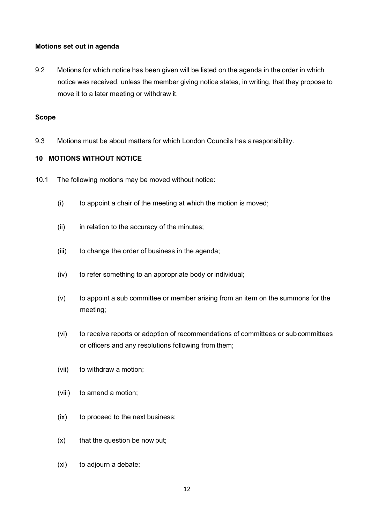### **Motions set out in agenda**

9.2 Motions for which notice has been given will be listed on the agenda in the order in which notice was received, unless the member giving notice states, in writing, that they propose to move it to a later meeting or withdraw it.

#### **Scope**

9.3 Motions must be about matters for which London Councils has a responsibility.

### <span id="page-11-0"></span>**10 MOTIONS WITHOUT NOTICE**

- 10.1 The following motions may be moved without notice:
	- (i) to appoint a chair of the meeting at which the motion is moved;
	- (ii) in relation to the accuracy of the minutes;
	- (iii) to change the order of business in the agenda;
	- (iv) to refer something to an appropriate body or individual;
	- (v) to appoint a sub committee or member arising from an item on the summons for the meeting;
	- (vi) to receive reports or adoption of recommendations of committees or sub committees or officers and any resolutions following from them;
	- (vii) to withdraw a motion;
	- (viii) to amend a motion;
	- (ix) to proceed to the next business;
	- $(x)$  that the question be now put;
	- (xi) to adjourn a debate;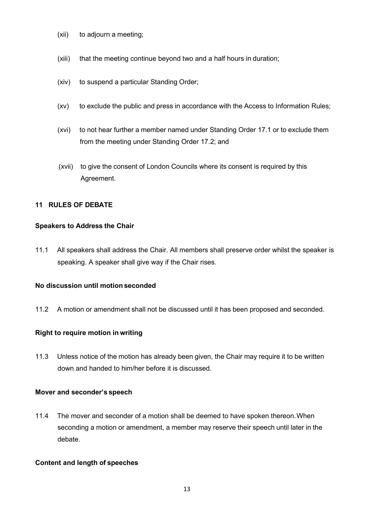- (xii) to adjourn a meeting;
- (xiii) that the meeting continue beyond two and a half hours in duration;
- (xiv) to suspend a particular Standing Order;
- (xv) to exclude the public and press in accordance with the Access to Information Rules;
- (xvi) to not hear further a member named under Standing Order 17.1 or to exclude them from the meeting under Standing Order 17.2; and
- (xvii) to give the consent of London Councils where its consent is required by this Agreement.

### **11 RULES OF DEBATE**

#### **Speakers to Address the Chair**

11.1 All speakers shall address the Chair. All members shall preserve order whilst the speaker is speaking. A speaker shall give way if the Chair rises.

#### **No discussion until motion seconded**

11.2 A motion or amendment shall not be discussed until it has been proposed and seconded.

#### **Right to require motion in writing**

11.3 Unless notice of the motion has already been given, the Chair may require it to be written down and handed to him/her before it is discussed.

#### **Mover and seconder's speech**

11.4 The mover and seconder of a motion shall be deemed to have spoken thereon.When seconding a motion or amendment, a member may reserve their speech until later in the debate.

#### **Content and length of speeches**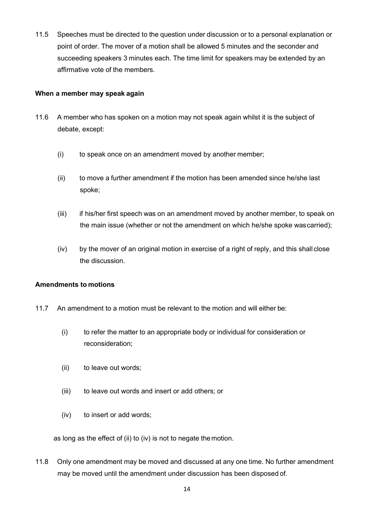11.5 Speeches must be directed to the question under discussion or to a personal explanation or point of order. The mover of a motion shall be allowed 5 minutes and the seconder and succeeding speakers 3 minutes each. The time limit for speakers may be extended by an affirmative vote of the members.

### **When a member may speak again**

- 11.6 A member who has spoken on a motion may not speak again whilst it is the subject of debate, except:
	- (i) to speak once on an amendment moved by another member;
	- (ii) to move a further amendment if the motion has been amended since he/she last spoke;
	- (iii) if his/her first speech was on an amendment moved by another member, to speak on the main issue (whether or not the amendment on which he/she spoke wascarried);
	- (iv) by the mover of an original motion in exercise of a right of reply, and this shall close the discussion.

### **Amendments to motions**

- 11.7 An amendment to a motion must be relevant to the motion and will either be:
	- (i) to refer the matter to an appropriate body or individual for consideration or reconsideration;
	- (ii) to leave out words;
	- (iii) to leave out words and insert or add others; or
	- (iv) to insert or add words;

as long as the effect of (ii) to (iv) is not to negate themotion.

11.8 Only one amendment may be moved and discussed at any one time. No further amendment may be moved until the amendment under discussion has been disposed of.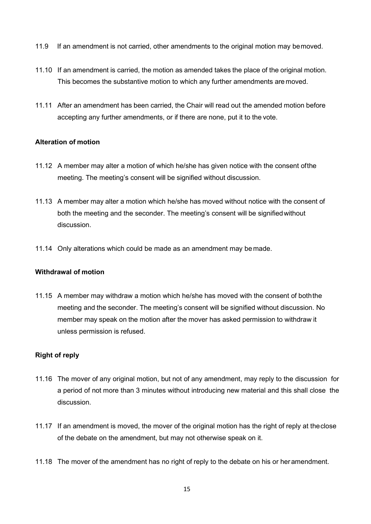- 11.9 If an amendment is not carried, other amendments to the original motion may bemoved.
- 11.10 If an amendment is carried, the motion as amended takes the place of the original motion. This becomes the substantive motion to which any further amendments are moved.
- 11.11 After an amendment has been carried, the Chair will read out the amended motion before accepting any further amendments, or if there are none, put it to the vote.

# **Alteration of motion**

- 11.12 A member may alter a motion of which he/she has given notice with the consent ofthe meeting. The meeting's consent will be signified without discussion.
- 11.13 A member may alter a motion which he/she has moved without notice with the consent of both the meeting and the seconder. The meeting's consent will be signifiedwithout discussion.
- 11.14 Only alterations which could be made as an amendment may be made.

### **Withdrawal of motion**

11.15 A member may withdraw a motion which he/she has moved with the consent of boththe meeting and the seconder. The meeting's consent will be signified without discussion. No member may speak on the motion after the mover has asked permission to withdraw it unless permission is refused.

# **Right of reply**

- 11.16 The mover of any original motion, but not of any amendment, may reply to the discussion for a period of not more than 3 minutes without introducing new material and this shall close the discussion.
- 11.17 If an amendment is moved, the mover of the original motion has the right of reply at theclose of the debate on the amendment, but may not otherwise speak on it.
- 11.18 The mover of the amendment has no right of reply to the debate on his or her amendment.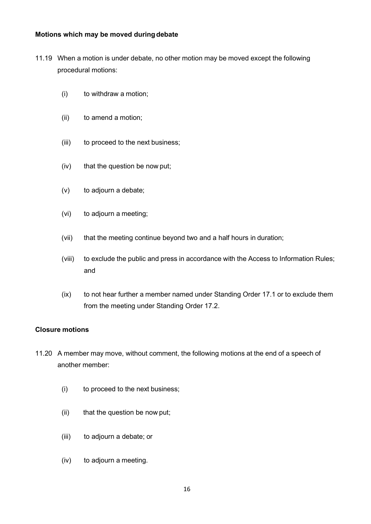### **Motions which may be moved duringdebate**

- 11.19 When a motion is under debate, no other motion may be moved except the following procedural motions:
	- (i) to withdraw a motion;
	- (ii) to amend a motion;
	- (iii) to proceed to the next business;
	- (iv) that the question be now put;
	- (v) to adjourn a debate;
	- (vi) to adjourn a meeting;
	- (vii) that the meeting continue beyond two and a half hours in duration;
	- (viii) to exclude the public and press in accordance with the Access to Information Rules; and
	- (ix) to not hear further a member named under Standing Order 17.1 or to exclude them from the meeting under Standing Order 17.2.

# **Closure motions**

- 11.20 A member may move, without comment, the following motions at the end of a speech of another member:
	- (i) to proceed to the next business;
	- (ii) that the question be now put;
	- (iii) to adjourn a debate; or
	- (iv) to adjourn a meeting.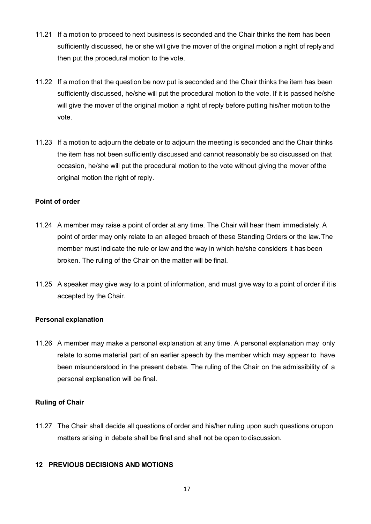- 11.21 If a motion to proceed to next business is seconded and the Chair thinks the item has been sufficiently discussed, he or she will give the mover of the original motion a right of replyand then put the procedural motion to the vote.
- 11.22 If a motion that the question be now put is seconded and the Chair thinks the item has been sufficiently discussed, he/she will put the procedural motion to the vote. If it is passed he/she will give the mover of the original motion a right of reply before putting his/her motion tothe vote.
- 11.23 If a motion to adjourn the debate or to adjourn the meeting is seconded and the Chair thinks the item has not been sufficiently discussed and cannot reasonably be so discussed on that occasion, he/she will put the procedural motion to the vote without giving the mover ofthe original motion the right of reply.

# **Point of order**

- 11.24 A member may raise a point of order at any time. The Chair will hear them immediately. A point of order may only relate to an alleged breach of these Standing Orders or the law.The member must indicate the rule or law and the way in which he/she considers it has been broken. The ruling of the Chair on the matter will be final.
- 11.25 A speaker may give way to a point of information, and must give way to a point of order if it is accepted by the Chair.

### **Personal explanation**

11.26 A member may make a personal explanation at any time. A personal explanation may only relate to some material part of an earlier speech by the member which may appear to have been misunderstood in the present debate. The ruling of the Chair on the admissibility of a personal explanation will be final.

### **Ruling of Chair**

11.27 The Chair shall decide all questions of order and his/her ruling upon such questions orupon matters arising in debate shall be final and shall not be open to discussion.

### **12 PREVIOUS DECISIONS AND MOTIONS**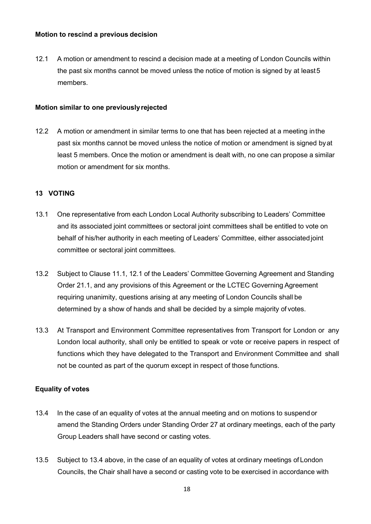#### **Motion to rescind a previous decision**

12.1 A motion or amendment to rescind a decision made at a meeting of London Councils within the past six months cannot be moved unless the notice of motion is signed by at least5 members.

#### **Motion similar to one previouslyrejected**

12.2 A motion or amendment in similar terms to one that has been rejected at a meeting inthe past six months cannot be moved unless the notice of motion or amendment is signed byat least 5 members. Once the motion or amendment is dealt with, no one can propose a similar motion or amendment for six months.

### <span id="page-17-0"></span>**13 VOTING**

- 13.1 One representative from each London Local Authority subscribing to Leaders' Committee and its associated joint committees or sectoral joint committees shall be entitled to vote on behalf of his/her authority in each meeting of Leaders' Committee, either associatedjoint committee or sectoral joint committees.
- 13.2 Subject to Clause 11.1, 12.1 of the Leaders' Committee Governing Agreement and Standing Order 21.1, and any provisions of this Agreement or the LCTEC Governing Agreement requiring unanimity, questions arising at any meeting of London Councils shall be determined by a show of hands and shall be decided by a simple majority of votes.
- 13.3 At Transport and Environment Committee representatives from Transport for London or any London local authority, shall only be entitled to speak or vote or receive papers in respect of functions which they have delegated to the Transport and Environment Committee and shall not be counted as part of the quorum except in respect of those functions.

### **Equality of votes**

- 13.4 In the case of an equality of votes at the annual meeting and on motions to suspendor amend the Standing Orders under Standing Order 27 at ordinary meetings, each of the party Group Leaders shall have second or casting votes.
- 13.5 Subject to 13.4 above, in the case of an equality of votes at ordinary meetings of London Councils, the Chair shall have a second or casting vote to be exercised in accordance with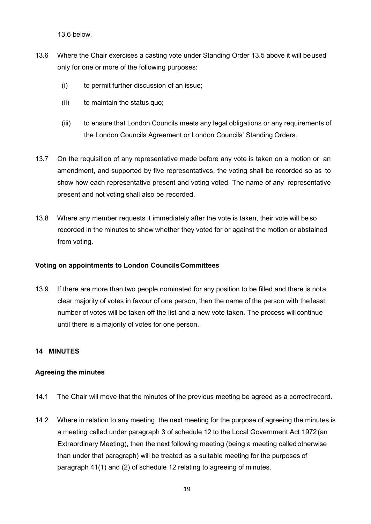13.6 below.

- 13.6 Where the Chair exercises a casting vote under Standing Order 13.5 above it will beused only for one or more of the following purposes:
	- (i) to permit further discussion of an issue;
	- (ii) to maintain the status quo;
	- (iii) to ensure that London Councils meets any legal obligations or any requirements of the London Councils Agreement or London Councils' Standing Orders.
- 13.7 On the requisition of any representative made before any vote is taken on a motion or an amendment, and supported by five representatives, the voting shall be recorded so as to show how each representative present and voting voted. The name of any representative present and not voting shall also be recorded.
- 13.8 Where any member requests it immediately after the vote is taken, their vote will be so recorded in the minutes to show whether they voted for or against the motion or abstained from voting.

### **Voting on appointments to London CouncilsCommittees**

13.9 If there are more than two people nominated for any position to be filled and there is nota clear majority of votes in favour of one person, then the name of the person with the least number of votes will be taken off the list and a new vote taken. The process will continue until there is a majority of votes for one person.

### **14 MINUTES**

### **Agreeing the minutes**

- 14.1 The Chair will move that the minutes of the previous meeting be agreed as a correctrecord.
- 14.2 Where in relation to any meeting, the next meeting for the purpose of agreeing the minutes is a meeting called under paragraph 3 of schedule 12 to the Local Government Act 1972(an Extraordinary Meeting), then the next following meeting (being a meeting calledotherwise than under that paragraph) will be treated as a suitable meeting for the purposes of paragraph 41(1) and (2) of schedule 12 relating to agreeing of minutes.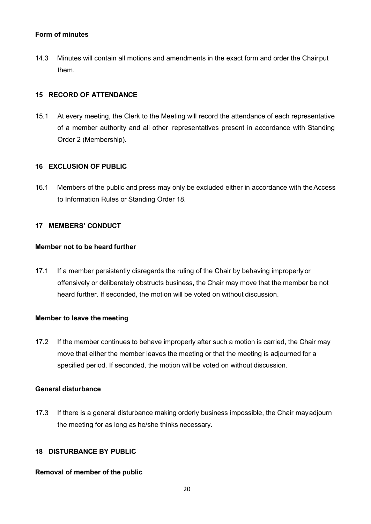### **Form of minutes**

14.3 Minutes will contain all motions and amendments in the exact form and order the Chairput them.

# <span id="page-19-0"></span>**15 RECORD OF ATTENDANCE**

15.1 At every meeting, the Clerk to the Meeting will record the attendance of each representative of a member authority and all other representatives present in accordance with Standing Order 2 (Membership).

### <span id="page-19-1"></span>**16 EXCLUSION OF PUBLIC**

16.1 Members of the public and press may only be excluded either in accordance with theAccess to Information Rules or Standing Order 18.

### **17 MEMBERS' CONDUCT**

### **Member not to be heard further**

17.1 If a member persistently disregards the ruling of the Chair by behaving improperly or offensively or deliberately obstructs business, the Chair may move that the member be not heard further. If seconded, the motion will be voted on without discussion.

### **Member to leave the meeting**

17.2 If the member continues to behave improperly after such a motion is carried, the Chair may move that either the member leaves the meeting or that the meeting is adjourned for a specified period. If seconded, the motion will be voted on without discussion.

### **General disturbance**

17.3 If there is a general disturbance making orderly business impossible, the Chair mayadjourn the meeting for as long as he/she thinks necessary.

# **18 DISTURBANCE BY PUBLIC**

### **Removal of member of the public**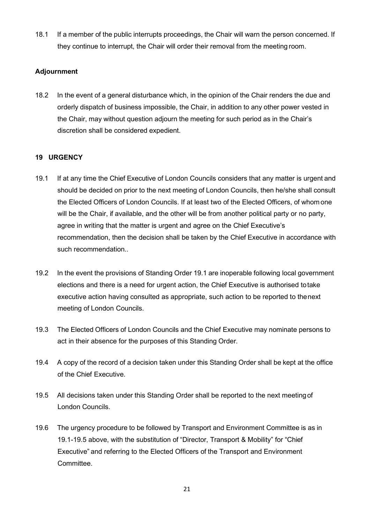18.1 If a member of the public interrupts proceedings, the Chair will warn the person concerned. If they continue to interrupt, the Chair will order their removal from the meeting room.

# **Adjournment**

18.2 In the event of a general disturbance which, in the opinion of the Chair renders the due and orderly dispatch of business impossible, the Chair, in addition to any other power vested in the Chair, may without question adjourn the meeting for such period as in the Chair's discretion shall be considered expedient.

# <span id="page-20-0"></span>**19 URGENCY**

- 19.1 If at any time the Chief Executive of London Councils considers that any matter is urgent and should be decided on prior to the next meeting of London Councils, then he/she shall consult the Elected Officers of London Councils. If at least two of the Elected Officers, of whom one will be the Chair, if available, and the other will be from another political party or no party, agree in writing that the matter is urgent and agree on the Chief Executive's recommendation, then the decision shall be taken by the Chief Executive in accordance with such recommendation..
- 19.2 In the event the provisions of Standing Order 19.1 are inoperable following local government elections and there is a need for urgent action, the Chief Executive is authorised totake executive action having consulted as appropriate, such action to be reported to thenext meeting of London Councils.
- 19.3 The Elected Officers of London Councils and the Chief Executive may nominate persons to act in their absence for the purposes of this Standing Order.
- 19.4 A copy of the record of a decision taken under this Standing Order shall be kept at the office of the Chief Executive.
- 19.5 All decisions taken under this Standing Order shall be reported to the next meetingof London Councils.
- 19.6 The urgency procedure to be followed by Transport and Environment Committee is as in 19.1-19.5 above, with the substitution of "Director, Transport & Mobility" for "Chief Executive" and referring to the Elected Officers of the Transport and Environment Committee.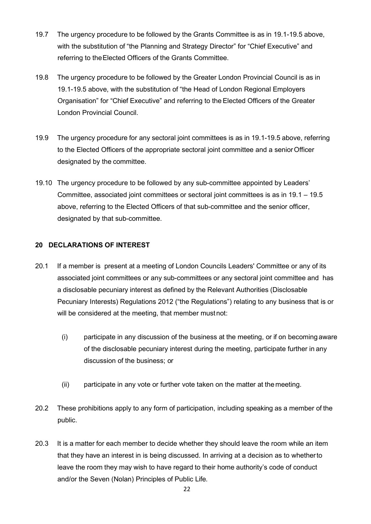- 19.7 The urgency procedure to be followed by the Grants Committee is as in 19.1-19.5 above, with the substitution of "the Planning and Strategy Director" for "Chief Executive" and referring to theElected Officers of the Grants Committee.
- 19.8 The urgency procedure to be followed by the Greater London Provincial Council is as in 19.1-19.5 above, with the substitution of "the Head of London Regional Employers Organisation" for "Chief Executive" and referring to the Elected Officers of the Greater London Provincial Council.
- 19.9 The urgency procedure for any sectoral joint committees is as in 19.1-19.5 above, referring to the Elected Officers of the appropriate sectoral joint committee and a seniorOfficer designated by the committee.
- 19.10 The urgency procedure to be followed by any sub-committee appointed by Leaders' Committee, associated joint committees or sectoral joint committees is as in 19.1 – 19.5 above, referring to the Elected Officers of that sub-committee and the senior officer, designated by that sub-committee.

# <span id="page-21-0"></span>**20 DECLARATIONS OF INTEREST**

- 20.1 If a member is present at a meeting of London Councils Leaders' Committee or any of its associated joint committees or any sub-committees or any sectoral joint committee and has a disclosable pecuniary interest as defined by the Relevant Authorities (Disclosable Pecuniary Interests) Regulations 2012 ("the Regulations") relating to any business that is or will be considered at the meeting, that member mustnot:
	- (i) participate in any discussion of the business at the meeting, or if on becoming aware of the disclosable pecuniary interest during the meeting, participate further in any discussion of the business; or
	- (ii) participate in any vote or further vote taken on the matter at the meeting.
- 20.2 These prohibitions apply to any form of participation, including speaking as a member of the public.
- 20.3 It is a matter for each member to decide whether they should leave the room while an item that they have an interest in is being discussed. In arriving at a decision as to whetherto leave the room they may wish to have regard to their home authority's code of conduct and/or the Seven (Nolan) Principles of Public Life.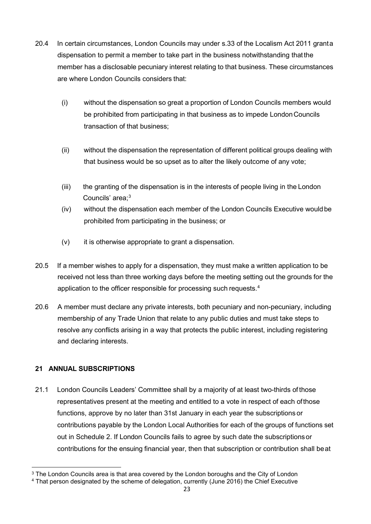- 20.4 In certain circumstances, London Councils may under s.33 of the Localism Act 2011 granta dispensation to permit a member to take part in the business notwithstanding thatthe member has a disclosable pecuniary interest relating to that business. These circumstances are where London Councils considers that:
	- (i) without the dispensation so great a proportion of London Councils members would be prohibited from participating in that business as to impede LondonCouncils transaction of that business;
	- (ii) without the dispensation the representation of different political groups dealing with that business would be so upset as to alter the likely outcome of any vote;
	- (iii) the granting of the dispensation is in the interests of people living in the London Councils' area;<sup>[3](#page-22-1)</sup>
	- (iv) without the dispensation each member of the London Councils Executive wouldbe prohibited from participating in the business; or
	- (v) it is otherwise appropriate to grant a dispensation.
- 20.5 If a member wishes to apply for a dispensation, they must make a written application to be received not less than three working days before the meeting setting out the grounds for the application to the officer responsible for processing such requests.<sup>[4](#page-22-2)</sup>
- 20.6 A member must declare any private interests, both pecuniary and non-pecuniary, including membership of any Trade Union that relate to any public duties and must take steps to resolve any conflicts arising in a way that protects the public interest, including registering and declaring interests.

# <span id="page-22-0"></span>**21 ANNUAL SUBSCRIPTIONS**

21.1 London Councils Leaders' Committee shall by a majority of at least two-thirds of those representatives present at the meeting and entitled to a vote in respect of each ofthose functions, approve by no later than 31st January in each year the subscriptions or contributions payable by the London Local Authorities for each of the groups of functions set out in Schedule 2. If London Councils fails to agree by such date the subscriptionsor contributions for the ensuing financial year, then that subscription or contribution shall beat

<span id="page-22-1"></span><sup>&</sup>lt;sup>3</sup> The London Councils area is that area covered by the London boroughs and the City of London

<span id="page-22-2"></span><sup>4</sup> That person designated by the scheme of delegation, currently (June 2016) the Chief Executive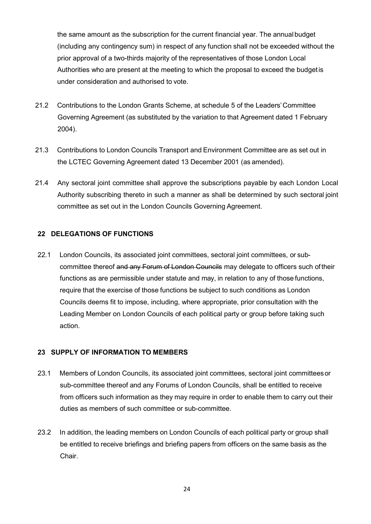the same amount as the subscription for the current financial year. The annual budget (including any contingency sum) in respect of any function shall not be exceeded without the prior approval of a two-thirds majority of the representatives of those London Local Authorities who are present at the meeting to which the proposal to exceed the budgetis under consideration and authorised to vote.

- 21.2 Contributions to the London Grants Scheme, at schedule 5 of the Leaders'Committee Governing Agreement (as substituted by the variation to that Agreement dated 1 February 2004).
- 21.3 Contributions to London Councils Transport and Environment Committee are as set out in the LCTEC Governing Agreement dated 13 December 2001 (as amended).
- 21.4 Any sectoral joint committee shall approve the subscriptions payable by each London Local Authority subscribing thereto in such a manner as shall be determined by such sectoral joint committee as set out in the London Councils Governing Agreement.

### <span id="page-23-0"></span>**22 DELEGATIONS OF FUNCTIONS**

22.1 London Councils, its associated joint committees, sectoral joint committees, or subcommittee thereof and any Forum of London Councils may delegate to officers such of their functions as are permissible under statute and may, in relation to any of those functions, require that the exercise of those functions be subject to such conditions as London Councils deems fit to impose, including, where appropriate, prior consultation with the Leading Member on London Councils of each political party or group before taking such action.

# <span id="page-23-1"></span>**23 SUPPLY OF INFORMATION TO MEMBERS**

- 23.1 Members of London Councils, its associated joint committees, sectoral joint committeesor sub-committee thereof and any Forums of London Councils, shall be entitled to receive from officers such information as they may require in order to enable them to carry out their duties as members of such committee or sub-committee.
- 23.2 In addition, the leading members on London Councils of each political party or group shall be entitled to receive briefings and briefing papers from officers on the same basis as the Chair.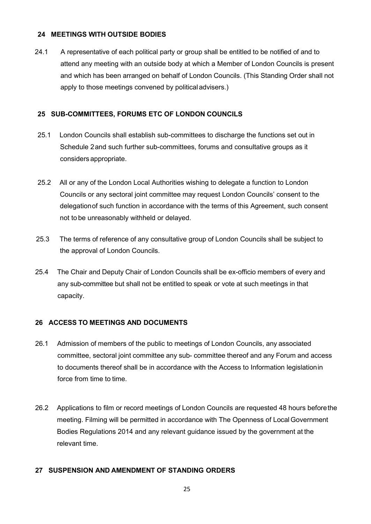### <span id="page-24-0"></span>**24 MEETINGS WITH OUTSIDE BODIES**

24.1 A representative of each political party or group shall be entitled to be notified of and to attend any meeting with an outside body at which a Member of London Councils is present and which has been arranged on behalf of London Councils. (This Standing Order shall not apply to those meetings convened by politicaladvisers.)

### <span id="page-24-1"></span>**25 SUB-COMMITTEES, FORUMS ETC OF LONDON COUNCILS**

- 25.1 London Councils shall establish sub-committees to discharge the functions set out in Schedule 2and such further sub-committees, forums and consultative groups as it considers appropriate.
- 25.2 All or any of the London Local Authorities wishing to delegate a function to London Councils or any sectoral joint committee may request London Councils' consent to the delegationof such function in accordance with the terms of this Agreement, such consent not to be unreasonably withheld or delayed.
- 25.3 The terms of reference of any consultative group of London Councils shall be subject to the approval of London Councils.
- 25.4 The Chair and Deputy Chair of London Councils shall be ex-officio members of every and any sub-committee but shall not be entitled to speak or vote at such meetings in that capacity.

### <span id="page-24-2"></span>**26 ACCESS TO MEETINGS AND DOCUMENTS**

- 26.1 Admission of members of the public to meetings of London Councils, any associated committee, sectoral joint committee any sub- committee thereof and any Forum and access to documents thereof shall be in accordance with the Access to Information legislationin force from time to time.
- 26.2 Applications to film or record meetings of London Councils are requested 48 hours beforethe meeting. Filming will be permitted in accordance with The Openness of LocalGovernment Bodies Regulations 2014 and any relevant guidance issued by the government at the relevant time.

### **27 SUSPENSION AND AMENDMENT OF STANDING ORDERS**